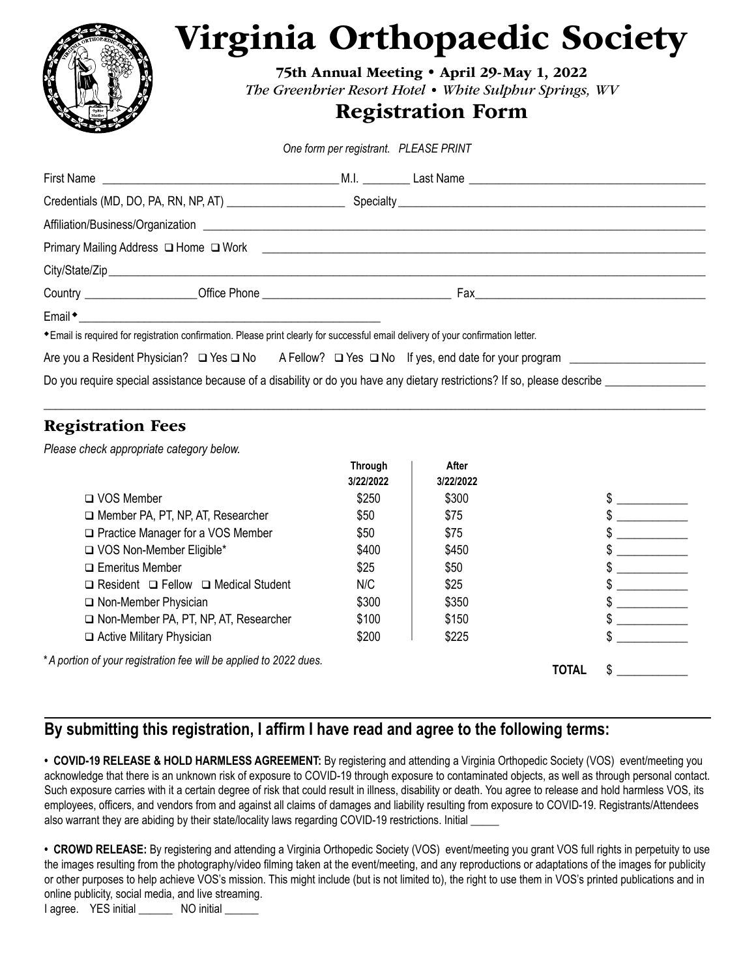

# Virginia Orthopaedic Society

75th Annual Meeting • April 29-May 1, 2022 *The Greenbrier Resort Hotel • White Sulphur Springs, WV*

## Registration Form

*One form per registrant. PLEASE PRINT*

| * Email is required for registration confirmation. Please print clearly for successful email delivery of your confirmation letter.     |  |  |  |  |  |  |  |
|----------------------------------------------------------------------------------------------------------------------------------------|--|--|--|--|--|--|--|
|                                                                                                                                        |  |  |  |  |  |  |  |
| Do you require special assistance because of a disability or do you have any dietary restrictions? If so, please describe ____________ |  |  |  |  |  |  |  |

 $\_$  , and the set of the set of the set of the set of the set of the set of the set of the set of the set of the set of the set of the set of the set of the set of the set of the set of the set of the set of the set of th

### Registration Fees

*Please check appropriate category below.* 

|                                                                   | <b>Through</b> | After     |       |  |
|-------------------------------------------------------------------|----------------|-----------|-------|--|
|                                                                   | 3/22/2022      | 3/22/2022 |       |  |
| $\Box$ VOS Member                                                 | \$250          | \$300     |       |  |
| Member PA, PT, NP, AT, Researcher                                 | \$50           | \$75      |       |  |
| □ Practice Manager for a VOS Member                               | \$50           | \$75      |       |  |
| VOS Non-Member Eligible*                                          | \$400          | \$450     |       |  |
| $\Box$ Emeritus Member                                            | \$25           | \$50      |       |  |
| $\Box$ Resident $\Box$ Fellow $\Box$ Medical Student              | N/C            | \$25      |       |  |
| □ Non-Member Physician                                            | \$300          | \$350     |       |  |
| Non-Member PA, PT, NP, AT, Researcher                             | \$100          | \$150     |       |  |
| $\Box$ Active Military Physician                                  | \$200          | \$225     |       |  |
| *A portion of your registration fee will be applied to 2022 dues. |                |           | TOTAL |  |

#### **By submitting this registration, I affirm I have read and agree to the following terms:**

**• COVID-19 RELEASE & HOLD HARMLESS AGREEMENT:** By registering and attending a Virginia Orthopedic Society (VOS) event/meeting you acknowledge that there is an unknown risk of exposure to COVID-19 through exposure to contaminated objects, as well as through personal contact. Such exposure carries with it a certain degree of risk that could result in illness, disability or death. You agree to release and hold harmless VOS, its employees, officers, and vendors from and against all claims of damages and liability resulting from exposure to COVID-19. Registrants/Attendees also warrant they are abiding by their state/locality laws regarding COVID-19 restrictions. Initial \_

• CROWD RELEASE: By registering and attending a Virginia Orthopedic Society (VOS) event/meeting you grant VOS full rights in perpetuity to use the images resulting from the photography/video filming taken at the event/meeting, and any reproductions or adaptations of the images for publicity or other purposes to help achieve VOS's mission. This might include (but is not limited to), the right to use them in VOS's printed publications and in online publicity, social media, and live streaming.

I agree. YES initial \_\_\_\_\_\_ NO initial